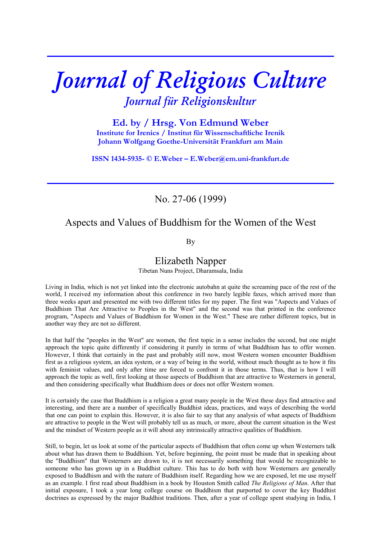# *Journal of Religious Culture Journal für Religionskultur*

**\_\_\_\_\_\_\_\_\_\_\_\_\_\_\_\_\_\_\_\_\_\_\_\_\_\_\_\_\_\_\_\_\_\_\_\_\_\_\_\_\_\_\_\_\_\_\_\_\_\_\_\_\_\_\_\_**

**Ed. by / Hrsg. Von Edmund Weber Institute for Irenics / Institut für Wissenschaftliche Irenik Johann Wolfgang Goethe-Universität Frankfurt am Main** 

**ISSN 1434-5935- © E.Weber – E.Weber@em.uni-frankfurt.de** 

**\_\_\_\_\_\_\_\_\_\_\_\_\_\_\_\_\_\_\_\_\_\_\_\_\_\_\_\_\_\_\_\_\_\_\_\_\_\_\_\_\_\_\_\_\_\_\_\_\_\_\_\_\_\_\_\_**

### No. 27-06 (1999)

## Aspects and Values of Buddhism for the Women of the West

By

#### Elizabeth Napper

Tibetan Nuns Project, Dharamsala, India

Living in India, which is not yet linked into the electronic autobahn at quite the screaming pace of the rest of the world, I received my information about this conference in two barely legible faxes, which arrived more than three weeks apart and presented me with two different titles for my paper. The first was "Aspects and Values of Buddhism That Are Attractive to Peoples in the West" and the second was that printed in the conference program, "Aspects and Values of Buddhism for Women in the West." These are rather different topics, but in another way they are not so different.

In that half the "peoples in the West" are women, the first topic in a sense includes the second, but one might approach the topic quite differently if considering it purely in terms of what Buddhism has to offer women. However, I think that certainly in the past and probably still now, most Western women encounter Buddhism first as a religious system, an idea system, or a way of being in the world, without much thought as to how it fits with feminist values, and only after time are forced to confront it in those terms. Thus, that is how I will approach the topic as well, first looking at those aspects of Buddhism that are attractive to Westerners in general, and then considering specifically what Buddhism does or does not offer Western women.

It is certainly the case that Buddhism is a religion a great many people in the West these days find attractive and interesting, and there are a number of specifically Buddhist ideas, practices, and ways of describing the world that one can point to explain this. However, it is also fair to say that any analysis of what aspects of Buddhism are attractive to people in the West will probably tell us as much, or more, about the current situation in the West and the mindset of Western people as it will about any intrinsically attractive qualities of Buddhism.

Still, to begin, let us look at some of the particular aspects of Buddhism that often come up when Westerners talk about what has drawn them to Buddhism. Yet, before beginning, the point must be made that in speaking about the "Buddhism" that Westerners are drawn to, it is not necessarily something that would be recognizable to someone who has grown up in a Buddhist culture. This has to do both with how Westerners are generally exposed to Buddhism and with the nature of Buddhism itself. Regarding how we are exposed, let me use myself as an example. I first read about Buddhism in a book by Houston Smith called *The Religions of Man*. After that initial exposure, I took a year long college course on Buddhism that purported to cover the key Buddhist doctrines as expressed by the major Buddhist traditions. Then, after a year of college spent studying in India, I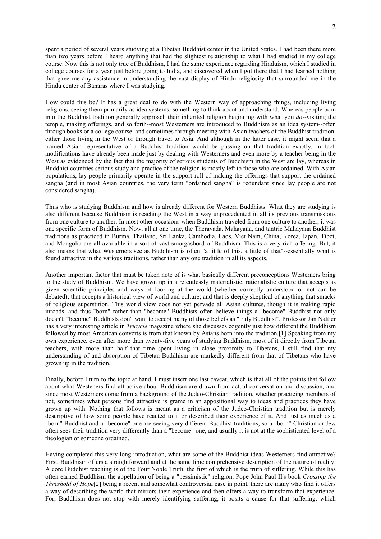spent a period of several years studying at a Tibetan Buddhist center in the United States. I had been there more than two years before I heard anything that had the slightest relationship to what I had studied in my college course. Now this is not only true of Buddhism, I had the same experience regarding Hinduism, which I studied in college courses for a year just before going to India, and discovered when I got there that I had learned nothing that gave me any assistance in understanding the vast display of Hindu religiosity that surrounded me in the Hindu center of Banaras where I was studying.

How could this be? It has a great deal to do with the Western way of approaching things, including living religions, seeing them primarily as idea systems, something to think about and understand. Whereas people born into the Buddhist tradition generally approach their inherited religion beginning with what you *do*--visiting the temple, making offerings, and so forth--most Westerners are introduced to Buddhism as an idea system--often through books or a college course, and sometimes through meeting with Asian teachers of the Buddhist tradition, either those living in the West or through travel to Asia. And although in the latter case, it might seem that a trained Asian representative of a Buddhist tradition would be passing on that tradition exactly, in fact, modifications have already been made just by dealing with Westerners and even more by a teacher being in the West as evidenced by the fact that the majority of serious students of Buddhism in the West are lay, whereas in Buddhist countries serious study and practice of the religion is mostly left to those who are ordained. With Asian populations, lay people primarily operate in the support roll of making the offerings that support the ordained sangha (and in most Asian countries, the very term "ordained sangha" is redundant since lay people are not considered sangha).

Thus who is studying Buddhism and how is already different for Western Buddhists. What they are studying is also different because Buddhism is reaching the West in a way unprecedented in all its previous transmissions from one culture to another. In most other occasions when Buddhism traveled from one culture to another, it was one specific form of Buddhism. Now, all at one time, the Theravada, Mahayana, and tantric Mahayana Buddhist traditions as practiced in Burma, Thailand, Sri Lanka, Cambodia, Laos, Viet Nam, China, Korea, Japan, Tibet, and Mongolia are all available in a sort of vast smorgasbord of Buddhism. This is a very rich offering. But, it also means that what Westerners see as Buddhism is often "a little of this, a little of that"--essentially what is found attractive in the various traditions, rather than any one tradition in all its aspects.

Another important factor that must be taken note of is what basically different preconceptions Westerners bring to the study of Buddhism. We have grown up in a relentlessly materialistic, rationalistic culture that accepts as given scientific principles and ways of looking at the world (whether correctly understood or not can be debated); that accepts a historical view of world and culture; and that is deeply skeptical of anything that smacks of religious superstition. This world view does not yet pervade all Asian cultures, though it is making rapid inroads, and thus "born" rather than "become" Buddhists often believe things a "become" Buddhist not only doesn't, "become" Buddhists don't want to accept many of those beliefs as "truly Buddhist". Professor Jan Nattier has a very interesting article in *Tricycle* magazine where she discusses cogently just how different the Buddhism followed by most American converts is from that known by Asians born into the tradition.[1] Speaking from my own experience, even after more than twenty-five years of studying Buddhism, most of it directly from Tibetan teachers, with more than half that time spent living in close proximity to Tibetans, I still find that my understanding of and absorption of Tibetan Buddhism are markedly different from that of Tibetans who have grown up in the tradition.

Finally, before I turn to the topic at hand, I must insert one last caveat, which is that all of the points that follow about what Westeners find attractive about Buddhism are drawn from actual conversation and discussion, and since most Westerners come from a background of the Judeo-Christian tradition, whether practicing members of not, sometimes what persons find attractive is grame in an appositional way to ideas and practices they have grown up with. Nothing that follows is meant as a criticism of the Judeo-Christian tradition but is merely descriptive of how some people have reacted to it or described their experience of it. And just as much as a "born" Buddhist and a "become" one are seeing very different Buddhist traditions, so a "born" Christian or Jew often sees their tradition very differently than a "become" one, and usually it is not at the sophisticated level of a theologian or someone ordained.

Having completed this very long introduction, what are some of the Buddhist ideas Westerners find attractive? First, Buddhism offers a straightforward and at the same time comprehensive description of the nature of reality. A core Buddhist teaching is of the Four Noble Truth, the first of which is the truth of suffering. While this has often earned Buddhism the appellation of being a "pessimistic" religion, Pope John Paul II's book *Crossing the Threshold of Hope*[2] being a recent and somewhat controversial case in point, there are many who find it offers a way of describing the world that mirrors their experience and then offers a way to transform that experience. For, Buddhism does not stop with merely identifying suffering, it posits a cause for that suffering, which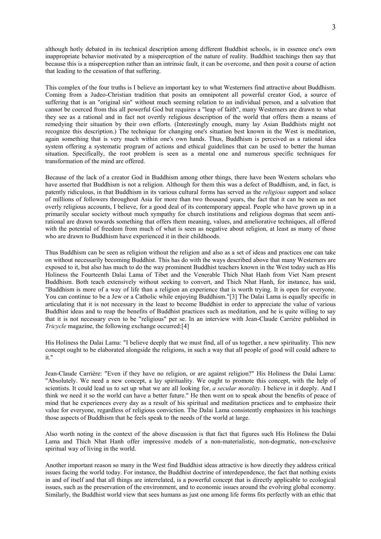although hotly debated in its technical description among different Buddhist schools, is in essence one's own inappropriate behavior motivated by a misperception of the nature of reality. Buddhist teachings then say that because this is a misperception rather than an intrinsic fault, it can be overcome, and then posit a course of action that leading to the cessation of that suffering.

This complex of the four truths is I believe an important key to what Westerners find attractive about Buddhism. Coming from a Judeo-Christian tradition that posits an omnipotent all powerful creator God, a source of suffering that is an "original sin" without much seeming relation to an individual person, and a salvation that cannot be coerced from this all powerful God but requires a "leap of faith", many Westerners are drawn to what they see as a rational and in fact not overtly religious description of the world that offers them a means of remedying their situation by their own efforts. (Interestingly enough, many lay Asian Buddhists might not recognize this description.) The technique for changing one's situation best known in the West is meditation, again something that is very much within one's own hands. Thus, Buddhism is perceived as a rational idea system offering a systematic program of actions and ethical guidelines that can be used to better the human situation. Specifically, the root problem is seen as a mental one and numerous specific techniques for transformation of the mind are offered.

Because of the lack of a creator God in Buddhism among other things, there have been Western scholars who have asserted that Buddhism is not a religion. Although for them this was a defect of Buddhism, and, in fact, is patently ridiculous, in that Buddhism in its various cultural forms has served as the *religious* support and solace of millions of followers throughout Asia for more than two thousand years, the fact that it can be seen as not overly religious accounts, I believe, for a good deal of its contemporary appeal. People who have grown up in a primarily secular society without much sympathy for church institutions and religious dogmas that seem antirational are drawn towards something that offers them meaning, values, and ameliorative techniques, all offered with the potential of freedom from much of what is seen as negative about religion, at least as many of those who are drawn to Buddhism have experienced it in their childhoods.

Thus Buddhism can be seen as religion without the religion and also as a set of ideas and practices one can take on without necessarily becoming Buddhist. This has do with the ways described above that many Westerners are exposed to it, but also has much to do the way prominent Buddhist teachers known in the West today such as His Holiness the Fourteenth Dalai Lama of Tibet and the Venerable Thich Nhat Hanh from Viet Nam present Buddhism. Both teach extensively without seeking to convert, and Thich Nhat Hanh, for instance, has said, "Buddhism is more of a way of life than a religion an experience that is worth trying. It is open for everyone. You can continue to be a Jew or a Catholic while enjoying Buddhism."[3] The Dalai Lama is equally specific in articulating that it is not necessary in the least to become Buddhist in order to appreciate the value of various Buddhist ideas and to reap the benefits of Buddhist practices such as meditation, and he is quite willing to say that it is not necessary even to be "religious" per se. In an interview with Jean-Claude Carrière published in *Tricycle* magazine, the following exchange occurred:[4]

His Holiness the Dalai Lama: "I believe deeply that we must find, all of us together, a new spirituality. This new concept ought to be elaborated alongside the religions, in such a way that all people of good will could adhere to it."

Jean-Claude Carrière: "Even if they have no religion, or are against religion?" His Holiness the Dalai Lama: "Absolutely. We need a new concept, a lay spirituality. We ought to promote this concept, with the help of scientists. It could lead us to set up what we are all looking for, *a secular morality.* I believe in it deeply. And I think we need it so the world can have a better future." He then went on to speak about the benefits of peace of mind that he experiences every day as a result of his spiritual and meditation practices and to emphasize their value for everyone, regardless of religious conviction. The Dalai Lama consistently emphasizes in his teachings those aspects of Buddhism that he feels speak to the needs of the world at large.

Also worth noting in the context of the above discussion is that fact that figures such His Holiness the Dalai Lama and Thich Nhat Hanh offer impressive models of a non-materialistic, non-dogmatic, non-exclusive spiritual way of living in the world.

Another important reason so many in the West find Buddhist ideas attractive is how directly they address critical issues facing the world today. For instance, the Buddhist doctrine of interdependence, the fact that nothing exists in and of itself and that all things are interrelated, is a powerful concept that is directly applicable to ecological issues, such as the preservation of the environment, and to economic issues around the evolving global economy. Similarly, the Buddhist world view that sees humans as just one among life forms fits perfectly with an ethic that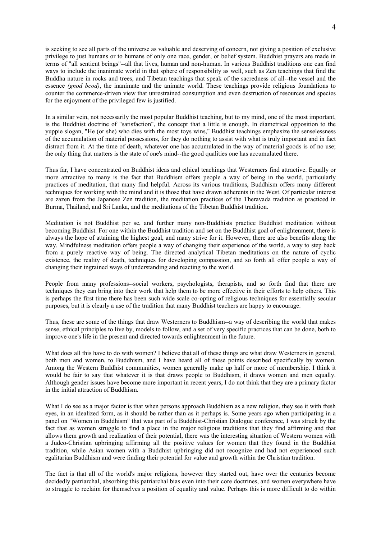is seeking to see all parts of the universe as valuable and deserving of concern, not giving a position of exclusive privilege to just humans or to humans of only one race, gender, or belief system. Buddhist prayers are made in terms of "all sentient beings"--all that lives, human and non-human. In various Buddhist traditions one can find ways to include the inanimate world in that sphere of responsibility as well, such as Zen teachings that find the Buddha nature in rocks and trees, and Tibetan teachings that speak of the sacredness of all--the vessel and the essence *(gnod bcod)*, the inanimate and the animate world. These teachings provide religious foundations to counter the commerce-driven view that unrestrained consumption and even destruction of resources and species for the enjoyment of the privileged few is justified.

In a similar vein, not necessarily the most popular Buddhist teaching, but to my mind, one of the most important, is the Buddhist doctrine of "satisfaction", the concept that a little is enough. In diametrical opposition to the yuppie slogan, "He (or she) who dies with the most toys wins," Buddhist teachings emphasize the senselessness of the accumulation of material possessions, for they do nothing to assist with what is truly important and in fact distract from it. At the time of death, whatever one has accumulated in the way of material goods is of no use; the only thing that matters is the state of one's mind--the good qualities one has accumulated there.

Thus far, I have concentrated on Buddhist ideas and ethical teachings that Westerners find attractive. Equally or more attractive to many is the fact that Buddhism offers people a way of being in the world, particularly practices of meditation, that many find helpful. Across its various traditions, Buddhism offers many different techniques for working with the mind and it is those that have drawn adherents in the West. Of particular interest are zazen from the Japanese Zen tradition, the meditation practices of the Theravada tradition as practiced in Burma, Thailand, and Sri Lanka, and the meditations of the Tibetan Buddhist tradition.

Meditation is not Buddhist per se, and further many non-Buddhists practice Buddhist meditation without becoming Buddhist. For one within the Buddhist tradition and set on the Buddhist goal of enlightenment, there is always the hope of attaining the highest goal, and many strive for it. However, there are also benefits along the way. Mindfulness meditation offers people a way of changing their experience of the world, a way to step back from a purely reactive way of being. The directed analytical Tibetan meditations on the nature of cyclic existence, the reality of death, techniques for developing compassion, and so forth all offer people a way of changing their ingrained ways of understanding and reacting to the world.

People from many professions--social workers, psychologists, therapists, and so forth find that there are techniques they can bring into their work that help them to be more effective in their efforts to help others. This is perhaps the first time there has been such wide scale co-opting of religious techniques for essentially secular purposes, but it is clearly a use of the tradition that many Buddhist teachers are happy to encourage.

Thus, these are some of the things that draw Westerners to Buddhism--a way of describing the world that makes sense, ethical principles to live by, models to follow, and a set of very specific practices that can be done, both to improve one's life in the present and directed towards enlightenment in the future.

What does all this have to do with women? I believe that all of these things are what draw Westerners in general, both men and women, to Buddhism, and I have heard all of these points described specifically by women. Among the Western Buddhist communities, women generally make up half or more of membership. I think it would be fair to say that whatever it is that draws people to Buddhism, it draws women and men equally. Although gender issues have become more important in recent years, I do not think that they are a primary factor in the initial attraction of Buddhism.

What I do see as a major factor is that when persons approach Buddhism as a new religion, they see it with fresh eyes, in an idealized form, as it should be rather than as it perhaps is. Some years ago when participating in a panel on "Women in Buddhism" that was part of a Buddhist-Christian Dialogue conference, I was struck by the fact that as women struggle to find a place in the major religious traditions that they find affirming and that allows them growth and realization of their potential, there was the interesting situation of Western women with a Judeo-Christian upbringing affirming all the positive values for women that they found in the Buddhist tradition, while Asian women with a Buddhist upbringing did not recognize and had not experienced such egalitarian Buddhism and were finding their potential for value and growth within the Christian tradition.

The fact is that all of the world's major religions, however they started out, have over the centuries become decidedly patriarchal, absorbing this patriarchal bias even into their core doctrines, and women everywhere have to struggle to reclaim for themselves a position of equality and value. Perhaps this is more difficult to do within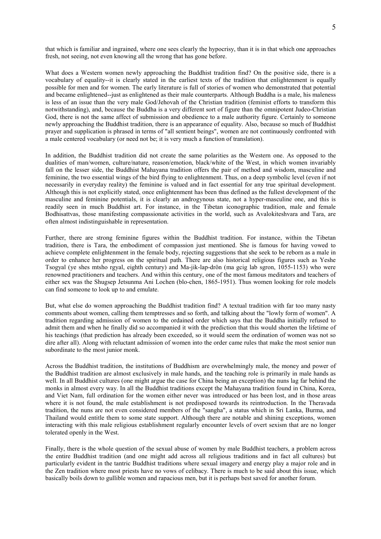that which is familiar and ingrained, where one sees clearly the hypocrisy, than it is in that which one approaches fresh, not seeing, not even knowing all the wrong that has gone before.

What does a Western women newly approaching the Buddhist tradition find? On the positive side, there is a vocabulary of equality--it is clearly stated in the earliest texts of the tradition that enlightenment is equally possible for men and for women. The early literature is full of stories of women who demonstrated that potential and became enlightened--just as enlightened as their male counterparts. Although Buddha is a male, his maleness is less of an issue than the very male God/Jehovah of the Christian tradition (feminist efforts to transform this notwithstanding), and, because the Buddha is a very different sort of figure than the omnipotent Judeo-Christian God, there is not the same affect of submission and obedience to a male authority figure. Certainly to someone newly approaching the Buddhist tradition, there is an appearance of equality. Also, because so much of Buddhist prayer and supplication is phrased in terms of "all sentient beings", women are not continuously confronted with a male centered vocabulary (or need not be; it is very much a function of translation).

In addition, the Buddhist tradition did not create the same polarities as the Western one. As opposed to the dualities of man/women, culture/nature, reason/emotion, black/white of the West, in which women invariably fall on the lesser side, the Buddhist Mahayana tradition offers the pair of method and wisdom, masculine and feminine, the two essential wings of the bird flying to enlightenment. Thus, on a deep symbolic level (even if not necessarily in everyday reality) the feminine is valued and in fact essential for any true spiritual development. Although this is not explicitly stated, once enlightenment has been thus defined as the fullest development of the masculine and feminine potentials, it is clearly an androgynous state, not a hyper-masculine one, and this is readily seen in much Buddhist art. For instance, in the Tibetan iconographic tradition, male and female Bodhisattvas, those manifesting compassionate activities in the world, such as Avalokiteshvara and Tara, are often almost indistinguishable in representation.

Further, there are strong feminine figures within the Buddhist tradition. For instance, within the Tibetan tradition, there is Tara, the embodiment of compassion just mentioned. She is famous for having vowed to achieve complete enlightenment in the female body, rejecting suggestions that she seek to be reborn as a male in order to enhance her progress on the spiritual path. There are also historical religious figures such as Yeshe Tsogyal (ye shes mtsho rgyal, eighth century) and Ma-jik-lap-drön (ma gcig lab sgron, 1055-1153) who were renowned practitioners and teachers. And within this century, one of the most famous meditators and teachers of either sex was the Shugsep Jetsunma Ani Lochen (blo-chen, 1865-1951). Thus women looking for role models can find someone to look up to and emulate.

But, what else do women approaching the Buddhist tradition find? A textual tradition with far too many nasty comments about women, calling them temptresses and so forth, and talking about the "lowly form of women". A tradition regarding admission of women to the ordained order which says that the Buddha initially refused to admit them and when he finally did so accompanied it with the prediction that this would shorten the lifetime of his teachings (that prediction has already been exceeded, so it would seem the ordination of women was not so dire after all). Along with reluctant admission of women into the order came rules that make the most senior nun subordinate to the most junior monk.

Across the Buddhist tradition, the institutions of Buddhism are overwhelmingly male, the money and power of the Buddhist tradition are almost exclusively in male hands, and the teaching role is primarily in male hands as well. In all Buddhist cultures (one might argue the case for China being an exception) the nuns lag far behind the monks in almost every way. In all the Buddhist traditions except the Mahayana tradition found in China, Korea, and Viet Nam, full ordination for the women either never was introduced or has been lost, and in those areas where it is not found, the male establishment is not predisposed towards its reintroduction. In the Theravada tradition, the nuns are not even considered members of the "sangha", a status which in Sri Lanka, Burma, and Thailand would entitle them to some state support. Although there are notable and shining exceptions, women interacting with this male religious establishment regularly encounter levels of overt sexism that are no longer tolerated openly in the West.

Finally, there is the whole question of the sexual abuse of women by male Buddhist teachers, a problem across the entire Buddhist tradition (and one might add across all religious traditions and in fact all cultures) but particularly evident in the tantric Buddhist traditions where sexual imagery and energy play a major role and in the Zen tradition where most priests have no vows of celibacy. There is much to be said about this issue, which basically boils down to gullible women and rapacious men, but it is perhaps best saved for another forum.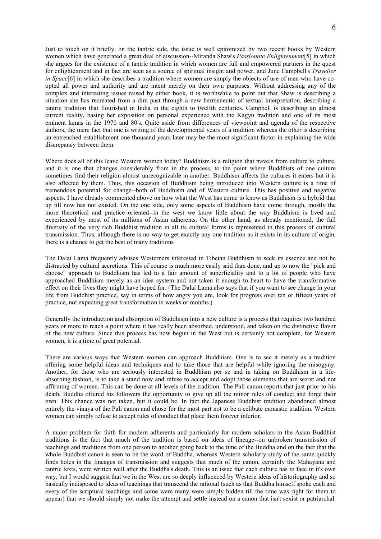Just to touch on it briefly, on the tantric side, the issue is well epitomized by two recent books by Western women which have generated a great deal of discussion--Miranda Shaw's *Passionate Enlightenment*[5] in which she argues for the existence of a tantric tradition in which women are full and empowered partners in the quest for enlightenment and in fact are seen as a source of spiritual insight and power, and June Campbell's *Traveller in Space*[6] in which she describes a tradition where women are simply the objects of use of men who have coopted all power and authority and are intent merely on their own purposes. Without addressing any of the complex and interesting issues raised by either book, it is worthwhile to point out that Shaw is describing a situation she has recreated from a dim past through a new hermeneutic of textual interpretation, describing a tantric tradition that flourished in India in the eighth to twelfth centuries. Campbell is describing an almost current reality, basing her exposition on personal experience with the Kagyu tradition and one of its most eminent lamas in the 1970 and 80's. Quite aside from differences of viewpoint and agenda of the respective authors, the mere fact that one is writing of the developmental years of a tradition whereas the other is describing an entrenched establishment one thousand years later may be the most significant factor in explaining the wide discrepancy between them.

Where does all of this leave Western women today? Buddhism is a religion that travels from culture to culture, and it is one that changes considerably from in the process, to the point where Buddhists of one culture sometimes find their religion almost unrecognizable in another. Buddhism affects the cultures it enters but it is also affected by them. Thus, this occasion of Buddhism being introduced into Western culture is a time of tremendous potential for change--both of Buddhism and of Western culture. This has positive and negative aspects. I have already commented above on how what the West has come to know as Buddhism is a hybrid that up till now has not existed. On the one side, only some aspects of Buddhism have come through, mostly the more theoretical and practice oriented--in the west we know little about the way Buddhism is lived and experienced by most of its millions of Asian adherents. On the other hand, as already mentioned, the full diversity of the very rich Buddhist tradition in all its cultural forms is represented in this process of cultural transmission. Thus, although there is no way to get exactly any one tradition as it exists in its culture of origin, there is a chance to get the best of many traditions

The Dalai Lama frequently advises Westerners interested in Tibetan Buddhism to seek its essence and not be distracted by cultural accretions. This of course is much more easily said than done, and up to now the "pick and choose" approach to Buddhism has led to a fair amount of superficiality and to a lot of people who have approached Buddhism merely as an idea system and not taken it enough to heart to have the transformative effect on their lives they might have hoped for. (The Dalai Lama.also says that if you want to see change in your life from Buddhist practice, say in terms of how angry you are, look for progress over ten or fifteen years of practice, not expecting great transformation in weeks or months.)

Generally the introduction and absorption of Buddhism into a new culture is a process that requires two hundred years or more to reach a point where it has really been absorbed, understood, and taken on the distinctive flavor of the new culture. Since this process has now begun in the West but is certainly not complete, for Western women, it is a time of great potential.

There are various ways that Western women can approach Buddhism. One is to see it merely as a tradition offering some helpful ideas and techniques and to take those that are helpful while ignoring the misogyny. Another, for those who are seriously interested in Buddhism per se and in taking on Buddhism in a lifeabsorbing fashion, is to take a stand now and refuse to accept and adopt those elements that are sexist and not affirming of women. This can be done at all levels of the tradition. The Pali canon reports that just prior to his death, Buddha offered his followers the opportunity to give up all the minor rules of conduct and forge their own. This chance was not taken, but it could be. In fact the Japanese Buddhist tradition abandoned almost entirely the vinaya of the Pali canon and chose for the most part not to be a celibate monastic tradition. Western women can simply refuse to accept rules of conduct that place them forever inferior.

A major problem for faith for modern adherents and particularly for modern scholars in the Asian Buddhist traditions is the fact that much of the tradition is based on ideas of lineage--on unbroken transmission of teachings and traditions from one person to another going back to the time of the Buddha and on the fact that the whole Buddhist canon is seen to be the word of Buddha, whereas Western scholarly study of the same quickly finds holes in the lineages of transmission and suggests that much of the canon, certainly the Mahayana and tantric texts, were written well after the Buddha's death. This is an issue that each culture has to face in it's own way, but I would suggest that we in the West are so deeply influenced by Western ideas of historiography and so basically indisposed to ideas of teachings that transcend the rational (such as that Buddha himself spoke each and every of the scriptural teachings and some were many were simply hidden till the time was right for them to appear) that we should simply not make the attempt and settle instead on a canon that isn't sexist or patriarchal.